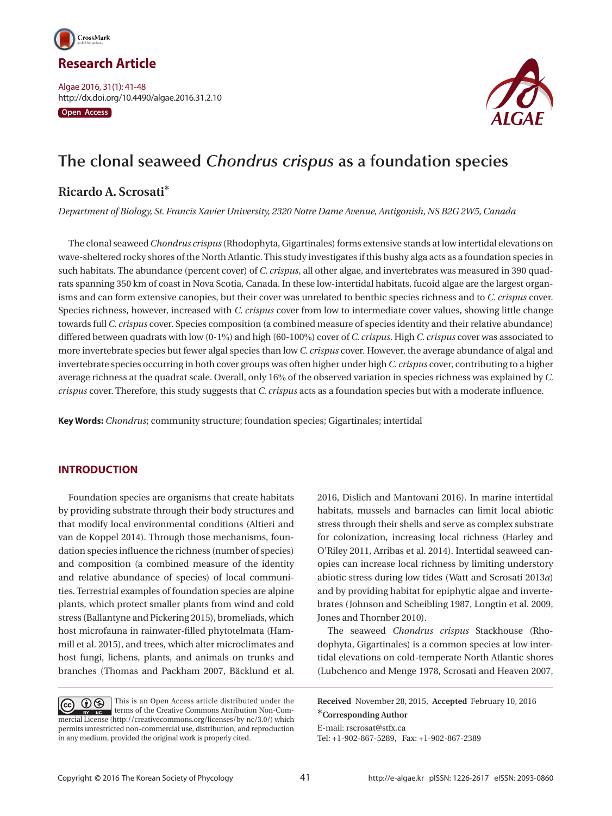

Algae 2016, 31(1): 41-48 http://dx.doi.org/10.4490/algae.2016.31.2.10

**Open Access**



# **The clonal seaweed** *Chondrus crispus* **as a foundation species**

# **Ricardo A. Scrosati**\*

*Department of Biology, St. Francis Xavier University, 2320 Notre Dame Avenue, Antigonish, NS B2G 2W5, Canada*

The clonal seaweed *Chondrus crispus* (Rhodophyta, Gigartinales) forms extensive stands at low intertidal elevations on wave-sheltered rocky shores of the North Atlantic. This study investigates if this bushy alga acts as a foundation species in such habitats. The abundance (percent cover) of *C. crispus*, all other algae, and invertebrates was measured in 390 quadrats spanning 350 km of coast in Nova Scotia, Canada. In these low-intertidal habitats, fucoid algae are the largest organisms and can form extensive canopies, but their cover was unrelated to benthic species richness and to *C. crispus* cover. Species richness, however, increased with *C. crispus* cover from low to intermediate cover values, showing little change towards full *C. crispus* cover. Species composition (a combined measure of species identity and their relative abundance) differed between quadrats with low (0-1%) and high (60-100%) cover of *C. crispus*. High *C. crispus* cover was associated to more invertebrate species but fewer algal species than low *C. crispus* cover. However, the average abundance of algal and invertebrate species occurring in both cover groups was often higher under high *C. crispus* cover, contributing to a higher average richness at the quadrat scale. Overall, only 16% of the observed variation in species richness was explained by *C. crispus* cover. Therefore, this study suggests that *C. crispus* acts as a foundation species but with a moderate influence.

**Key Words:** *Chondrus*; community structure; foundation species; Gigartinales; intertidal

# **INTRODUCTION**

Foundation species are organisms that create habitats by providing substrate through their body structures and that modify local environmental conditions (Altieri and van de Koppel 2014). Through those mechanisms, foundation species influence the richness (number of species) and composition (a combined measure of the identity and relative abundance of species) of local communities. Terrestrial examples of foundation species are alpine plants, which protect smaller plants from wind and cold stress (Ballantyne and Pickering 2015), bromeliads, which host microfauna in rainwater-filled phytotelmata (Hammill et al. 2015), and trees, which alter microclimates and host fungi, lichens, plants, and animals on trunks and branches (Thomas and Packham 2007, Bäcklund et al.

This is an Open Access article distributed under the  $\circledcirc$  $\left(\overline{cc}\right)$ terms of the Creative Commons Attribution Non-Commercial License (http://creativecommons.org/licenses/by-nc/3.0/) which permits unrestricted non-commercial use, distribution, and reproduction in any medium, provided the original work is properly cited.

2016, Dislich and Mantovani 2016). In marine intertidal habitats, mussels and barnacles can limit local abiotic stress through their shells and serve as complex substrate for colonization, increasing local richness (Harley and O'Riley 2011, Arribas et al. 2014). Intertidal seaweed canopies can increase local richness by limiting understory abiotic stress during low tides (Watt and Scrosati 2013*a*) and by providing habitat for epiphytic algae and invertebrates (Johnson and Scheibling 1987, Longtin et al. 2009, Jones and Thornber 2010).

The seaweed *Chondrus crispus* Stackhouse (Rhodophyta, Gigartinales) is a common species at low intertidal elevations on cold-temperate North Atlantic shores (Lubchenco and Menge 1978, Scrosati and Heaven 2007,

**Received** November 28, 2015, **Accepted** February 10, 2016 \***Corresponding Author**

E-mail: rscrosat@stfx.ca Tel: +1-902-867-5289, Fax: +1-902-867-2389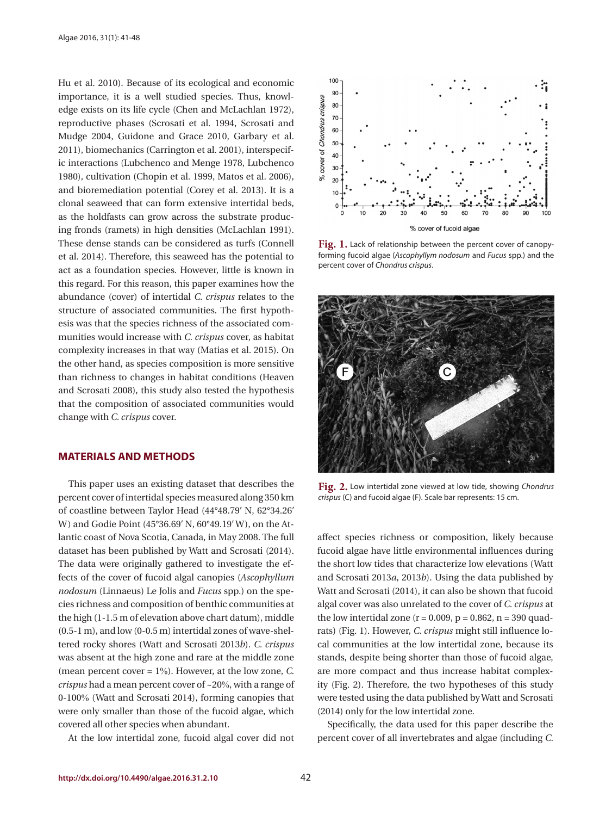Hu et al. 2010). Because of its ecological and economic importance, it is a well studied species. Thus, knowledge exists on its life cycle (Chen and McLachlan 1972), reproductive phases (Scrosati et al. 1994, Scrosati and Mudge 2004, Guidone and Grace 2010, Garbary et al. 2011), biomechanics (Carrington et al. 2001), interspecific interactions (Lubchenco and Menge 1978, Lubchenco 1980), cultivation (Chopin et al. 1999, Matos et al. 2006), and bioremediation potential (Corey et al. 2013). It is a clonal seaweed that can form extensive intertidal beds, as the holdfasts can grow across the substrate producing fronds (ramets) in high densities (McLachlan 1991). These dense stands can be considered as turfs (Connell et al. 2014). Therefore, this seaweed has the potential to act as a foundation species. However, little is known in this regard. For this reason, this paper examines how the abundance (cover) of intertidal *C. crispus* relates to the structure of associated communities. The first hypothesis was that the species richness of the associated communities would increase with *C. crispus* cover, as habitat complexity increases in that way (Matias et al. 2015). On the other hand, as species composition is more sensitive than richness to changes in habitat conditions (Heaven and Scrosati 2008), this study also tested the hypothesis that the composition of associated communities would change with *C. crispus* cover.

#### **MATERIALS AND METHODS**

This paper uses an existing dataset that describes the percent cover of intertidal species measured along 350 km of coastline between Taylor Head (44°48.79′ N, 62°34.26′ W) and Godie Point (45°36.69′ N, 60°49.19′ W), on the Atlantic coast of Nova Scotia, Canada, in May 2008. The full dataset has been published by Watt and Scrosati (2014). The data were originally gathered to investigate the effects of the cover of fucoid algal canopies (*Ascophyllum nodosum* (Linnaeus) Le Jolis and *Fucus* spp.) on the species richness and composition of benthic communities at the high (1-1.5 m of elevation above chart datum), middle (0.5-1 m), and low (0-0.5 m) intertidal zones of wave-sheltered rocky shores (Watt and Scrosati 2013*b*). *C. crispus* was absent at the high zone and rare at the middle zone (mean percent cover = 1%). However, at the low zone, *C. crispus* had a mean percent cover of ~20%, with a range of 0-100% (Watt and Scrosati 2014), forming canopies that were only smaller than those of the fucoid algae, which covered all other species when abundant.

At the low intertidal zone, fucoid algal cover did not



Fig. 1. Lack of relationship between the percent cover of canopyforming fucoid algae (*Ascophyllym nodosum* and *Fucus* spp.) and the percent cover of *Chondrus crispus*.



**Fig. 2.** Low intertidal zone viewed at low tide, showing *Chondrus crispus* (C) and fucoid algae (F). Scale bar represents: 15 cm.

affect species richness or composition, likely because fucoid algae have little environmental influences during the short low tides that characterize low elevations (Watt and Scrosati 2013*a*, 2013*b*). Using the data published by Watt and Scrosati (2014), it can also be shown that fucoid algal cover was also unrelated to the cover of *C. crispus* at the low intertidal zone  $(r = 0.009, p = 0.862, n = 390$  quadrats) (Fig. 1). However, *C. crispus* might still influence local communities at the low intertidal zone, because its stands, despite being shorter than those of fucoid algae, are more compact and thus increase habitat complexity (Fig. 2). Therefore, the two hypotheses of this study were tested using the data published by Watt and Scrosati (2014) only for the low intertidal zone.

Specifically, the data used for this paper describe the percent cover of all invertebrates and algae (including *C.*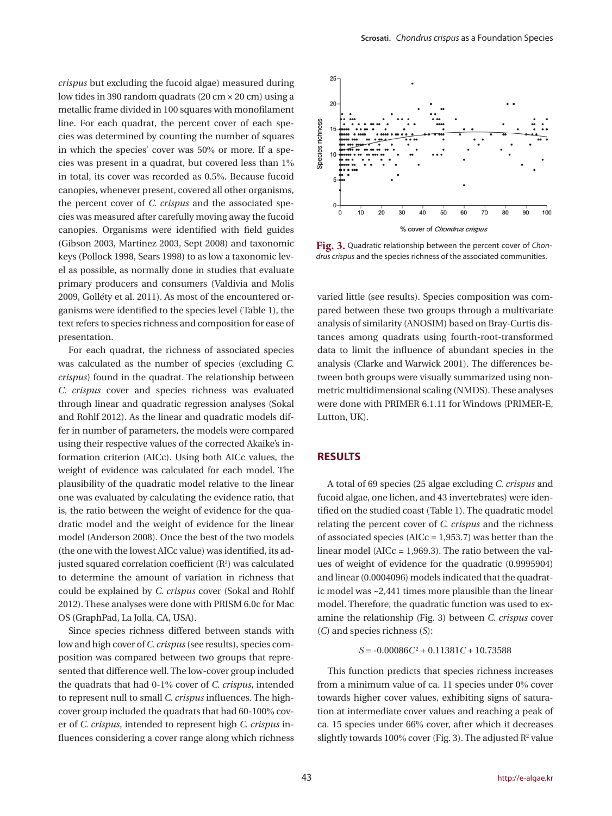*crispus* but excluding the fucoid algae) measured during low tides in 390 random quadrats (20 cm × 20 cm) using a metallic frame divided in 100 squares with monofilament line. For each quadrat, the percent cover of each species was determined by counting the number of squares in which the species' cover was 50% or more. If a species was present in a quadrat, but covered less than 1% in total, its cover was recorded as 0.5%. Because fucoid canopies, whenever present, covered all other organisms, the percent cover of *C. crispus* and the associated species was measured after carefully moving away the fucoid canopies. Organisms were identified with field guides (Gibson 2003, Martinez 2003, Sept 2008) and taxonomic keys (Pollock 1998, Sears 1998) to as low a taxonomic level as possible, as normally done in studies that evaluate primary producers and consumers (Valdivia and Molis 2009, Golléty et al. 2011). As most of the encountered organisms were identified to the species level (Table 1), the text refers to species richness and composition for ease of presentation.

For each quadrat, the richness of associated species was calculated as the number of species (excluding *C. crispus*) found in the quadrat. The relationship between *C. crispus* cover and species richness was evaluated through linear and quadratic regression analyses (Sokal and Rohlf 2012). As the linear and quadratic models differ in number of parameters, the models were compared using their respective values of the corrected Akaike's information criterion (AICc). Using both AICc values, the weight of evidence was calculated for each model. The plausibility of the quadratic model relative to the linear one was evaluated by calculating the evidence ratio, that is, the ratio between the weight of evidence for the quadratic model and the weight of evidence for the linear model (Anderson 2008). Once the best of the two models (the one with the lowest AICc value) was identified, its adjusted squared correlation coefficient  $(R^2)$  was calculated to determine the amount of variation in richness that could be explained by *C. crispus* cover (Sokal and Rohlf 2012). These analyses were done with PRISM 6.0c for Mac OS (GraphPad, La Jolla, CA, USA).

Since species richness differed between stands with low and high cover of *C. crispus* (see results), species composition was compared between two groups that represented that difference well. The low-cover group included the quadrats that had 0-1% cover of *C. crispus*, intended to represent null to small *C. crispus* influences. The highcover group included the quadrats that had 60-100% cover of *C. crispus*, intended to represent high *C. crispus* influences considering a cover range along which richness



**Fig. 3.** Quadratic relationship between the percent cover of *Chondrus crispus* and the species richness of the associated communities.

varied little (see results). Species composition was compared between these two groups through a multivariate analysis of similarity (ANOSIM) based on Bray-Curtis distances among quadrats using fourth-root-transformed data to limit the influence of abundant species in the analysis (Clarke and Warwick 2001). The differences between both groups were visually summarized using nonmetric multidimensional scaling (NMDS). These analyses were done with PRIMER 6.1.11 for Windows (PRIMER-E, Lutton, UK).

#### **RESULTS**

A total of 69 species (25 algae excluding *C. crispus* and fucoid algae, one lichen, and 43 invertebrates) were identified on the studied coast (Table 1). The quadratic model relating the percent cover of *C. crispus* and the richness of associated species ( $AICc = 1,953.7$ ) was better than the linear model (AICc = 1,969.3). The ratio between the values of weight of evidence for the quadratic (0.9995904) and linear (0.0004096) models indicated that the quadratic model was ~2,441 times more plausible than the linear model. Therefore, the quadratic function was used to examine the relationship (Fig. 3) between *C. crispus* cover (*C*) and species richness (*S*):

 $S = -0.00086C^2 + 0.11381C + 10.73588$ 

This function predicts that species richness increases from a minimum value of ca. 11 species under 0% cover towards higher cover values, exhibiting signs of saturation at intermediate cover values and reaching a peak of ca. 15 species under 66% cover, after which it decreases slightly towards  $100\%$  cover (Fig. 3). The adjusted  $R^2$  value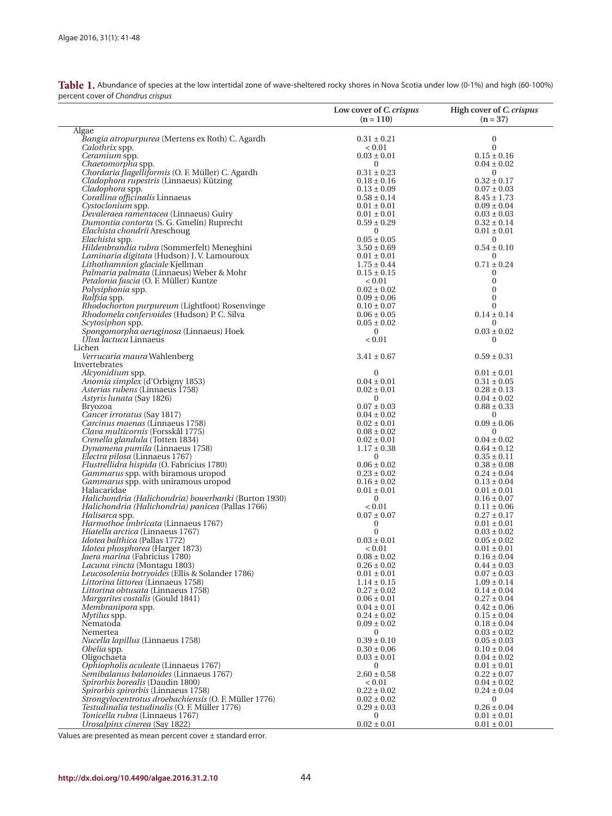| Table 1. Abundance of species at the low intertidal zone of wave-sheltered rocky shores in Nova Scotia under low (0-1%) and high (60-100%) |  |  |  |
|--------------------------------------------------------------------------------------------------------------------------------------------|--|--|--|
| percent cover of Chondrus crispus                                                                                                          |  |  |  |

|                                                                                                           | Low cover of C. crispus<br>$(n = 110)$ | High cover of C. crispus<br>$(n = 37)$ |
|-----------------------------------------------------------------------------------------------------------|----------------------------------------|----------------------------------------|
| Algae                                                                                                     |                                        |                                        |
| Bangia atropurpurea (Mertens ex Roth) C. Agardh                                                           | $0.31 \pm 0.21$                        | $\boldsymbol{0}$                       |
| Calothrix spp.                                                                                            | ${}_{< 0.01}$                          | $\mathbf{0}$                           |
| Ceramium spp.                                                                                             | $0.03 \pm 0.01$                        | $0.15 \pm 0.16$                        |
| Chaetomorpha spp.<br>Chordaria flagelliformis (O. F. Müller) C. Agardh                                    | $\overline{0}$                         | $0.04 \pm 0.02$                        |
| Cladophora rupestris (Linnaeus) Kützing                                                                   | $0.31 \pm 0.23$<br>$0.18 \pm 0.16$     | $\mathbf{0}$<br>$0.32 \pm 0.17$        |
| Cladophora spp.                                                                                           | $0.13 \pm 0.09$                        | $0.07 \pm 0.03$                        |
| Corallina officinalis Linnaeus                                                                            | $0.58 \pm 0.14$                        | $8.45 \pm 1.73$                        |
| Cystoclonium spp.                                                                                         | $0.01 \pm 0.01$                        | $0.09 \pm 0.04$                        |
| Devaleraea ramentacea (Linnaeus) Guiry                                                                    | $0.01 \pm 0.01$                        | $0.03 \pm 0.03$                        |
| Dumontia contorta (S. G. Gmelin) Ruprecht                                                                 | $0.59 \pm 0.29$                        | $0.32 \pm 0.14$                        |
| Elachista chondrii Areschoug                                                                              | $\mathbf{0}$                           | $0.01 \pm 0.01$                        |
| Elachista spp.                                                                                            | $0.05 \pm 0.05$                        | $\bf{0}$                               |
| Hildenbrandia rubra (Sommerfelt) Meneghini                                                                | $3.50 \pm 0.69$                        | $0.54 \pm 0.10$                        |
| Laminaria digitata (Hudson) J.V. Lamouroux                                                                | $0.01 \pm 0.01$                        | $\mathbf{0}$                           |
| Lithothamnion glaciale Kjellman<br>Palmaria palmata (Linnaeus) Weber & Mohr                               | $1.75 \pm 0.44$<br>$0.15 \pm 0.15$     | $0.71 \pm 0.24$<br>$\mathbf{0}$        |
| Petalonia fascia (O. F. Müller) Kuntze                                                                    | ${}_{< 0.01}$                          | $\boldsymbol{0}$                       |
| Polysiphonia spp.                                                                                         | $0.02 \pm 0.02$                        | $\mathbf{0}$                           |
| <i>Ralfsia</i> spp.                                                                                       | $0.09 \pm 0.06$                        | $\mathbf{0}$                           |
| Rhodochorton purpureum (Lightfoot) Rosenvinge                                                             | $0.10 \pm 0.07$                        | $\mathbf{0}$                           |
| Rhodomela confervoides (Hudson) P. C. Silva                                                               | $0.06 \pm 0.05$                        | $0.14 \pm 0.14$                        |
| Scytosiphon spp.                                                                                          | $0.05 \pm 0.02$                        | $\mathbf{0}$                           |
| Spongomorpha aeruginosa (Linnaeus) Hoek                                                                   | $\overline{0}$                         | $0.03 \pm 0.02$                        |
| Ulva lactuca Linnaeus                                                                                     | < 0.01                                 | $\mathbf{0}$                           |
| Lichen                                                                                                    |                                        |                                        |
| Verrucaria maura Wahlenberg<br>Invertebrates                                                              | $3.41 \pm 0.67$                        | $0.59 \pm 0.31$                        |
| Alcyonidium spp.                                                                                          | $\mathbf{0}$                           | $0.01 \pm 0.01$                        |
| Anomia simplex (d'Orbigny 1853)                                                                           | $0.04 \pm 0.01$                        | $0.31 \pm 0.05$                        |
| <i>Asterias rubens</i> (Linnaeus 1758)                                                                    | $0.02 \pm 0.01$                        | $0.28 \pm 0.13$                        |
| Astyris lunata (Say 1826)                                                                                 | $\overline{0}$                         | $0.04 \pm 0.02$                        |
| <b>Bryozoa</b>                                                                                            | $0.07 \pm 0.03$                        | $0.88 \pm 0.33$                        |
| Cancer irroratus (Say 1817)                                                                               | $0.04 \pm 0.02$                        | $\bf{0}$                               |
| Carcinus maenas (Linnaeus 1758)<br>Clava multicornis (Forsskål 1775)                                      | $0.02 \pm 0.01$                        | $0.09 \pm 0.06$                        |
| Crenella glandula (Totten 1834)                                                                           | $0.08 \pm 0.02$<br>$0.02 \pm 0.01$     | $\bf{0}$<br>$0.04 \pm 0.02$            |
| Dynamena pumila (Linnaeus 1758)                                                                           | $1.17 \pm 0.38$                        | $0.64 \pm 0.12$                        |
| Electra pilosa (Linnaeus 1767)                                                                            | $\mathbf{0}$                           | $0.35 \pm 0.11$                        |
| Flustrellidra hispida (O. Fabricius 1780)                                                                 | $0.06 \pm 0.02$                        | $0.38 \pm 0.08$                        |
| Gammarus spp. with biramous uropod                                                                        | $0.23 \pm 0.02$                        | $0.24 \pm 0.04$                        |
| Gammarus spp. with uniramous uropod                                                                       | $0.16 \pm 0.02$                        | $0.13 \pm 0.04$                        |
| Halacaridae                                                                                               | $0.01 \pm 0.01$                        | $0.01 \pm 0.01$                        |
| Halichondria (Halichondria) bowerbanki (Burton 1930)<br>Halichondria (Halichondria) panicea (Pallas 1766) | $\bf{0}$                               | $0.16 \pm 0.07$                        |
| Halisarca spp.                                                                                            | ${}_{< 0.01}$<br>$0.07 \pm 0.07$       | $0.11 \pm 0.06$<br>$0.27 \pm 0.17$     |
| Harmothoe imbricata (Linnaeus 1767)                                                                       | $\mathbf{0}$                           | $0.01 \pm 0.01$                        |
| <i>Hiatella arctica</i> (Linnaeus 1767)                                                                   | $\mathbf{0}$                           | $0.03 \pm 0.02$                        |
| <i>Idotea balthica</i> (Pallas 1772)                                                                      | $0.03 \pm 0.01$                        | $0.05 \pm 0.02$                        |
| Idotea phosphorea (Harger 1873)                                                                           | < 0.01                                 | $0.01 \pm 0.01$                        |
| <i>Jaera marina</i> (Fabricius 1780)                                                                      | $0.08 \pm 0.02$                        | $0.16 \pm 0.04$                        |
| <i>Lacuna vincta</i> (Montagu 1803)                                                                       | $0.26 \pm 0.02$                        | $0.44 \pm 0.03$                        |
| Leucosolenia botryoides (Ellis & Solander 1786)                                                           | $0.01 \pm 0.01$                        | $0.07 \pm 0.03$                        |
| Littorina littorea (Linnaeus 1758)<br>Littorina obtusata (Linnaeus 1758)                                  | $1.14 \pm 0.15$                        | $1.09 \pm 0.14$                        |
| <i>Margarites costalis</i> (Gould 1841)                                                                   | $0.27 \pm 0.02$<br>$0.06 \pm 0.01$     | $0.14 \pm 0.04$<br>$0.27 \pm 0.04$     |
| Membranipora spp.                                                                                         | $0.04 \pm 0.01$                        | $0.42 \pm 0.06$                        |
| <i>Mytilus</i> spp.                                                                                       | $0.24 \pm 0.02$                        | $0.15 \pm 0.04$                        |
| Nematoda                                                                                                  | $0.09 \pm 0.02$                        | $0.18 \pm 0.04$                        |
| Nemertea                                                                                                  | $\overline{0}$                         | $0.03 \pm 0.02$                        |
| Nucella lapillus (Linnaeus 1758)                                                                          | $0.39 \pm 0.10$                        | $0.05 \pm 0.03$                        |
| Obelia spp.                                                                                               | $0.30 \pm 0.06$                        | $0.10 \pm 0.04$                        |
| Oligochaeta                                                                                               | $0.03 \pm 0.01$                        | $0.04 \pm 0.02$                        |
| Ophiopholis aculeate (Linnaeus 1767)<br>Semibalanus balanoides (Linnaeus 1767)                            | $\mathbf{0}$<br>$2.60 \pm 0.58$        | $0.01 \pm 0.01$<br>$0.22 \pm 0.07$     |
| Spirorbis borealis (Daudin 1800)                                                                          | ${}_{< 0.01}$                          | $0.04 \pm 0.02$                        |
| Spirorbis spirorbis (Linnaeus 1758)                                                                       | $0.22 \pm 0.02$                        | $0.24 \pm 0.04$                        |
| Strongylocentrotus droebachiensis (O. F. Müller 1776)                                                     | $0.02 \pm 0.02$                        | $\bf{0}$                               |
| Testudinalia testudinalis (O. F. Müller 1776)                                                             | $0.29 \pm 0.03$                        | $0.26 \pm 0.04$                        |
| <i>Tonicella rubra</i> (Linnaeus 1767)                                                                    | 0                                      | $0.01 \pm 0.01$                        |
| Urosalpinx cinerea (Say 1822)                                                                             | $0.02 \pm 0.01$                        | $0.01 \pm 0.01$                        |

Values are presented as mean percent cover ± standard error.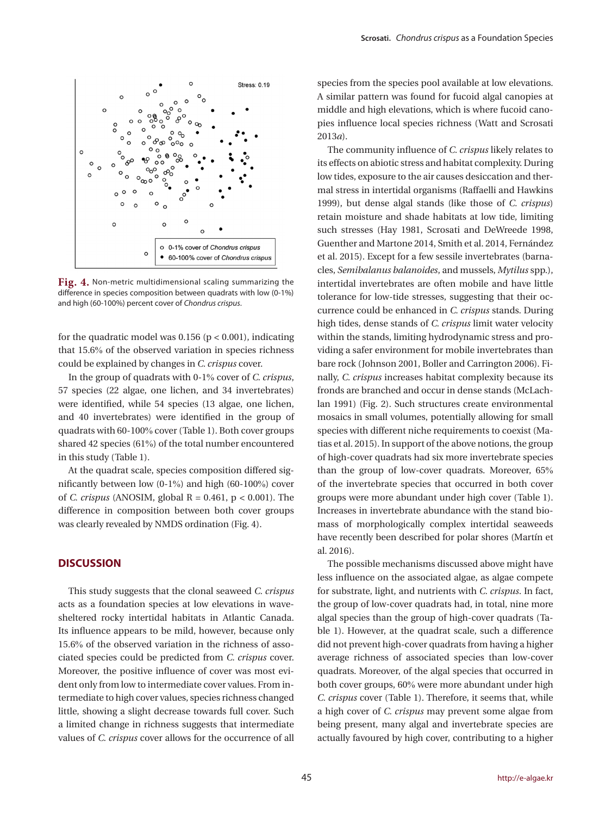

**Fig. 4.** Non-metric multidimensional scaling summarizing the difference in species composition between quadrats with low (0-1%) and high (60-100%) percent cover of *Chondrus crispus*.

for the quadratic model was  $0.156$  ( $p < 0.001$ ), indicating that 15.6% of the observed variation in species richness could be explained by changes in *C. crispus* cover.

In the group of quadrats with 0-1% cover of *C. crispus*, 57 species (22 algae, one lichen, and 34 invertebrates) were identified, while 54 species (13 algae, one lichen, and 40 invertebrates) were identified in the group of quadrats with 60-100% cover (Table 1). Both cover groups shared 42 species (61%) of the total number encountered in this study (Table 1).

At the quadrat scale, species composition differed significantly between low (0-1%) and high (60-100%) cover of *C. crispus* (ANOSIM, global  $R = 0.461$ ,  $p < 0.001$ ). The difference in composition between both cover groups was clearly revealed by NMDS ordination (Fig. 4).

# **DISCUSSION**

This study suggests that the clonal seaweed *C. crispus* acts as a foundation species at low elevations in wavesheltered rocky intertidal habitats in Atlantic Canada. Its influence appears to be mild, however, because only 15.6% of the observed variation in the richness of associated species could be predicted from *C. crispus* cover. Moreover, the positive influence of cover was most evident only from low to intermediate cover values. From intermediate to high cover values, species richness changed little, showing a slight decrease towards full cover. Such a limited change in richness suggests that intermediate values of *C. crispus* cover allows for the occurrence of all

species from the species pool available at low elevations. A similar pattern was found for fucoid algal canopies at middle and high elevations, which is where fucoid canopies influence local species richness (Watt and Scrosati 2013*a*).

The community influence of *C. crispus* likely relates to its effects on abiotic stress and habitat complexity. During low tides, exposure to the air causes desiccation and thermal stress in intertidal organisms (Raffaelli and Hawkins 1999), but dense algal stands (like those of *C. crispus*) retain moisture and shade habitats at low tide, limiting such stresses (Hay 1981, Scrosati and DeWreede 1998, Guenther and Martone 2014, Smith et al. 2014, Fernández et al. 2015). Except for a few sessile invertebrates (barnacles, *Semibalanus balanoides*, and mussels, *Mytilus* spp.), intertidal invertebrates are often mobile and have little tolerance for low-tide stresses, suggesting that their occurrence could be enhanced in *C. crispus* stands. During high tides, dense stands of *C. crispus* limit water velocity within the stands, limiting hydrodynamic stress and providing a safer environment for mobile invertebrates than bare rock (Johnson 2001, Boller and Carrington 2006). Finally, *C. crispus* increases habitat complexity because its fronds are branched and occur in dense stands (McLachlan 1991) (Fig. 2). Such structures create environmental mosaics in small volumes, potentially allowing for small species with different niche requirements to coexist (Matias et al. 2015). In support of the above notions, the group of high-cover quadrats had six more invertebrate species than the group of low-cover quadrats. Moreover, 65% of the invertebrate species that occurred in both cover groups were more abundant under high cover (Table 1). Increases in invertebrate abundance with the stand biomass of morphologically complex intertidal seaweeds have recently been described for polar shores (Martín et al. 2016).

The possible mechanisms discussed above might have less influence on the associated algae, as algae compete for substrate, light, and nutrients with *C. crispus*. In fact, the group of low-cover quadrats had, in total, nine more algal species than the group of high-cover quadrats (Table 1). However, at the quadrat scale, such a difference did not prevent high-cover quadrats from having a higher average richness of associated species than low-cover quadrats. Moreover, of the algal species that occurred in both cover groups, 60% were more abundant under high *C. crispus* cover (Table 1). Therefore, it seems that, while a high cover of *C. crispus* may prevent some algae from being present, many algal and invertebrate species are actually favoured by high cover, contributing to a higher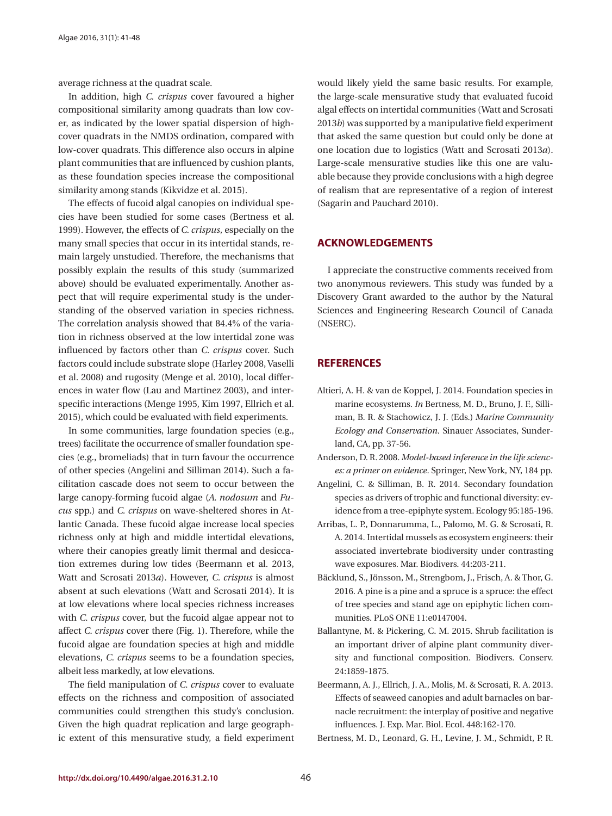average richness at the quadrat scale.

In addition, high *C. crispus* cover favoured a higher compositional similarity among quadrats than low cover, as indicated by the lower spatial dispersion of highcover quadrats in the NMDS ordination, compared with low-cover quadrats. This difference also occurs in alpine plant communities that are influenced by cushion plants, as these foundation species increase the compositional similarity among stands (Kikvidze et al. 2015).

The effects of fucoid algal canopies on individual species have been studied for some cases (Bertness et al. 1999). However, the effects of *C. crispus*, especially on the many small species that occur in its intertidal stands, remain largely unstudied. Therefore, the mechanisms that possibly explain the results of this study (summarized above) should be evaluated experimentally. Another aspect that will require experimental study is the understanding of the observed variation in species richness. The correlation analysis showed that 84.4% of the variation in richness observed at the low intertidal zone was influenced by factors other than *C. crispus* cover. Such factors could include substrate slope (Harley 2008, Vaselli et al. 2008) and rugosity (Menge et al. 2010), local differences in water flow (Lau and Martinez 2003), and interspecific interactions (Menge 1995, Kim 1997, Ellrich et al. 2015), which could be evaluated with field experiments.

In some communities, large foundation species (e.g., trees) facilitate the occurrence of smaller foundation species (e.g., bromeliads) that in turn favour the occurrence of other species (Angelini and Silliman 2014). Such a facilitation cascade does not seem to occur between the large canopy-forming fucoid algae (*A. nodosum* and *Fucus* spp.) and *C. crispus* on wave-sheltered shores in Atlantic Canada. These fucoid algae increase local species richness only at high and middle intertidal elevations, where their canopies greatly limit thermal and desiccation extremes during low tides (Beermann et al. 2013, Watt and Scrosati 2013*a*). However, *C. crispus* is almost absent at such elevations (Watt and Scrosati 2014). It is at low elevations where local species richness increases with *C. crispus* cover, but the fucoid algae appear not to affect *C. crispus* cover there (Fig. 1). Therefore, while the fucoid algae are foundation species at high and middle elevations, *C. crispus* seems to be a foundation species, albeit less markedly, at low elevations.

The field manipulation of *C. crispus* cover to evaluate effects on the richness and composition of associated communities could strengthen this study's conclusion. Given the high quadrat replication and large geographic extent of this mensurative study, a field experiment would likely yield the same basic results. For example, the large-scale mensurative study that evaluated fucoid algal effects on intertidal communities (Watt and Scrosati 2013*b*) was supported by a manipulative field experiment that asked the same question but could only be done at one location due to logistics (Watt and Scrosati 2013*a*). Large-scale mensurative studies like this one are valuable because they provide conclusions with a high degree of realism that are representative of a region of interest (Sagarin and Pauchard 2010).

### **ACKNOWLEDGEMENTS**

I appreciate the constructive comments received from two anonymous reviewers. This study was funded by a Discovery Grant awarded to the author by the Natural Sciences and Engineering Research Council of Canada (NSERC).

# **REFERENCES**

- Altieri, A. H. & van de Koppel, J. 2014. Foundation species in marine ecosystems. *In* Bertness, M. D., Bruno, J. F., Silliman, B. R. & Stachowicz, J. J. (Eds.) *Marine Community Ecology and Conservation*. Sinauer Associates, Sunderland, CA, pp. 37-56.
- Anderson, D. R. 2008. *Model-based inference in the life sciences: a primer on evidence*. Springer, New York, NY, 184 pp.
- Angelini, C. & Silliman, B. R. 2014. Secondary foundation species as drivers of trophic and functional diversity: evidence from a tree-epiphyte system. Ecology 95:185-196.
- Arribas, L. P., Donnarumma, L., Palomo, M. G. & Scrosati, R. A. 2014. Intertidal mussels as ecosystem engineers: their associated invertebrate biodiversity under contrasting wave exposures. Mar. Biodivers. 44:203-211.
- Bäcklund, S., Jönsson, M., Strengbom, J., Frisch, A. & Thor, G. 2016. A pine is a pine and a spruce is a spruce: the effect of tree species and stand age on epiphytic lichen communities. PLoS ONE 11:e0147004.
- Ballantyne, M. & Pickering, C. M. 2015. Shrub facilitation is an important driver of alpine plant community diversity and functional composition. Biodivers. Conserv. 24:1859-1875.
- Beermann, A. J., Ellrich, J. A., Molis, M. & Scrosati, R. A. 2013. Effects of seaweed canopies and adult barnacles on barnacle recruitment: the interplay of positive and negative influences. J. Exp. Mar. Biol. Ecol. 448:162-170.
- Bertness, M. D., Leonard, G. H., Levine, J. M., Schmidt, P. R.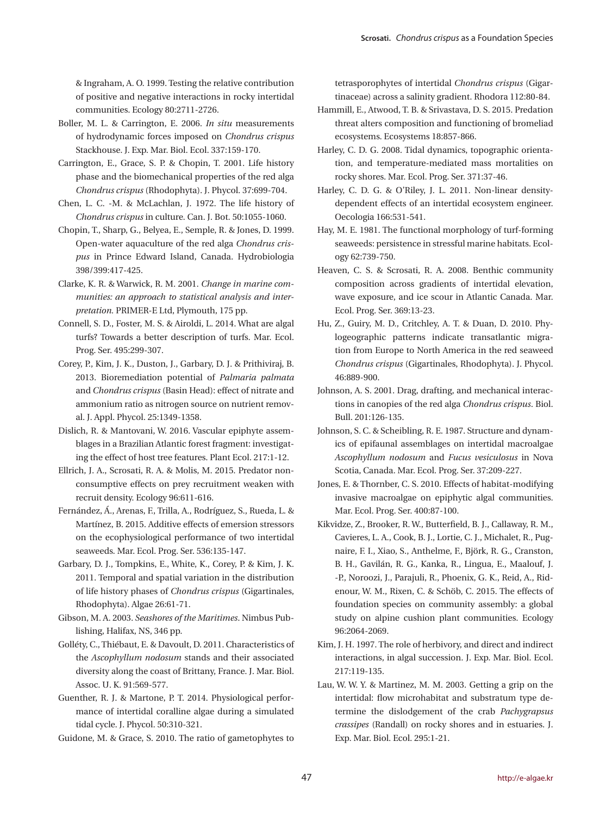& Ingraham, A. O. 1999. Testing the relative contribution of positive and negative interactions in rocky intertidal communities. Ecology 80:2711-2726.

- Boller, M. L. & Carrington, E. 2006. *In situ* measurements of hydrodynamic forces imposed on *Chondrus crispus* Stackhouse. J. Exp. Mar. Biol. Ecol. 337:159-170.
- Carrington, E., Grace, S. P. & Chopin, T. 2001. Life history phase and the biomechanical properties of the red alga *Chondrus crispus* (Rhodophyta). J. Phycol. 37:699-704.
- Chen, L. C. -M. & McLachlan, J. 1972. The life history of *Chondrus crispus* in culture. Can. J. Bot. 50:1055-1060.
- Chopin, T., Sharp, G., Belyea, E., Semple, R. & Jones, D. 1999. Open-water aquaculture of the red alga *Chondrus crispus* in Prince Edward Island, Canada. Hydrobiologia 398/399:417-425.
- Clarke, K. R. & Warwick, R. M. 2001. *Change in marine communities: an approach to statistical analysis and interpretation.* PRIMER-E Ltd, Plymouth, 175 pp.
- Connell, S. D., Foster, M. S. & Airoldi, L. 2014. What are algal turfs? Towards a better description of turfs. Mar. Ecol. Prog. Ser. 495:299-307.
- Corey, P., Kim, J. K., Duston, J., Garbary, D. J. & Prithiviraj, B. 2013. Bioremediation potential of *Palmaria palmata* and *Chondrus crispus* (Basin Head): effect of nitrate and ammonium ratio as nitrogen source on nutrient removal. J. Appl. Phycol. 25:1349-1358.
- Dislich, R. & Mantovani, W. 2016. Vascular epiphyte assemblages in a Brazilian Atlantic forest fragment: investigating the effect of host tree features. Plant Ecol. 217:1-12.
- Ellrich, J. A., Scrosati, R. A. & Molis, M. 2015. Predator nonconsumptive effects on prey recruitment weaken with recruit density. Ecology 96:611-616.
- Fernández, Á., Arenas, F., Trilla, A., Rodríguez, S., Rueda, L. & Martínez, B. 2015. Additive effects of emersion stressors on the ecophysiological performance of two intertidal seaweeds. Mar. Ecol. Prog. Ser. 536:135-147.
- Garbary, D. J., Tompkins, E., White, K., Corey, P. & Kim, J. K. 2011. Temporal and spatial variation in the distribution of life history phases of *Chondrus crispus* (Gigartinales, Rhodophyta). Algae 26:61-71.
- Gibson, M. A. 2003. *Seashores of the Maritimes*. Nimbus Publishing, Halifax, NS, 346 pp.
- Golléty, C., Thiébaut, E. & Davoult, D. 2011. Characteristics of the *Ascophyllum nodosum* stands and their associated diversity along the coast of Brittany, France. J. Mar. Biol. Assoc. U. K. 91:569-577.
- Guenther, R. J. & Martone, P. T. 2014. Physiological performance of intertidal coralline algae during a simulated tidal cycle. J. Phycol. 50:310-321.
- Guidone, M. & Grace, S. 2010. The ratio of gametophytes to

tetrasporophytes of intertidal *Chondrus crispus* (Gigartinaceae) across a salinity gradient. Rhodora 112:80-84.

- Hammill, E., Atwood, T. B. & Srivastava, D. S. 2015. Predation threat alters composition and functioning of bromeliad ecosystems. Ecosystems 18:857-866.
- Harley, C. D. G. 2008. Tidal dynamics, topographic orientation, and temperature-mediated mass mortalities on rocky shores. Mar. Ecol. Prog. Ser. 371:37-46.
- Harley, C. D. G. & O'Riley, J. L. 2011. Non-linear densitydependent effects of an intertidal ecosystem engineer. Oecologia 166:531-541.
- Hay, M. E. 1981. The functional morphology of turf-forming seaweeds: persistence in stressful marine habitats. Ecology 62:739-750.
- Heaven, C. S. & Scrosati, R. A. 2008. Benthic community composition across gradients of intertidal elevation, wave exposure, and ice scour in Atlantic Canada. Mar. Ecol. Prog. Ser. 369:13-23.
- Hu, Z., Guiry, M. D., Critchley, A. T. & Duan, D. 2010. Phylogeographic patterns indicate transatlantic migration from Europe to North America in the red seaweed *Chondrus crispus* (Gigartinales, Rhodophyta). J. Phycol. 46:889-900.
- Johnson, A. S. 2001. Drag, drafting, and mechanical interactions in canopies of the red alga *Chondrus crispus*. Biol. Bull. 201:126-135.
- Johnson, S. C. & Scheibling, R. E. 1987. Structure and dynamics of epifaunal assemblages on intertidal macroalgae *Ascophyllum nodosum* and *Fucus vesiculosus* in Nova Scotia, Canada. Mar. Ecol. Prog. Ser. 37:209-227.
- Jones, E. & Thornber, C. S. 2010. Effects of habitat-modifying invasive macroalgae on epiphytic algal communities. Mar. Ecol. Prog. Ser. 400:87-100.
- Kikvidze, Z., Brooker, R. W., Butterfield, B. J., Callaway, R. M., Cavieres, L. A., Cook, B. J., Lortie, C. J., Michalet, R., Pugnaire, F. I., Xiao, S., Anthelme, F., Björk, R. G., Cranston, B. H., Gavilán, R. G., Kanka, R., Lingua, E., Maalouf, J. -P., Noroozi, J., Parajuli, R., Phoenix, G. K., Reid, A., Ridenour, W. M., Rixen, C. & Schöb, C. 2015. The effects of foundation species on community assembly: a global study on alpine cushion plant communities. Ecology 96:2064-2069.
- Kim, J. H. 1997. The role of herbivory, and direct and indirect interactions, in algal succession. J. Exp. Mar. Biol. Ecol. 217:119-135.
- Lau, W. W. Y. & Martinez, M. M. 2003. Getting a grip on the intertidal: flow microhabitat and substratum type determine the dislodgement of the crab *Pachygrapsus crassipes* (Randall) on rocky shores and in estuaries. J. Exp. Mar. Biol. Ecol. 295:1-21.